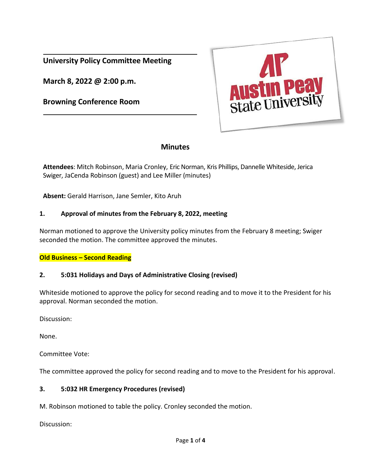**University Policy Committee Meeting**

**March 8, 2022 @ 2:00 p.m.**

**Browning Conference Room**



# **Minutes**

**Attendees**: Mitch Robinson, Maria Cronley, Eric Norman, Kris Phillips, Dannelle Whiteside, Jerica Swiger, JaCenda Robinson (guest) and Lee Miller (minutes)

**Absent:** Gerald Harrison, Jane Semler, Kito Aruh

#### **1. Approval of minutes from the February 8, 2022, meeting**

Norman motioned to approve the University policy minutes from the February 8 meeting; Swiger seconded the motion. The committee approved the minutes.

#### **Old Business – Second Reading**

### **2. 5:031 Holidays and Days of Administrative Closing (revised)**

Whiteside motioned to approve the policy for second reading and to move it to the President for his approval. Norman seconded the motion.

Discussion:

None.

Committee Vote:

The committee approved the policy for second reading and to move to the President for his approval.

#### **3. 5:032 HR Emergency Procedures (revised)**

M. Robinson motioned to table the policy. Cronley seconded the motion.

Discussion: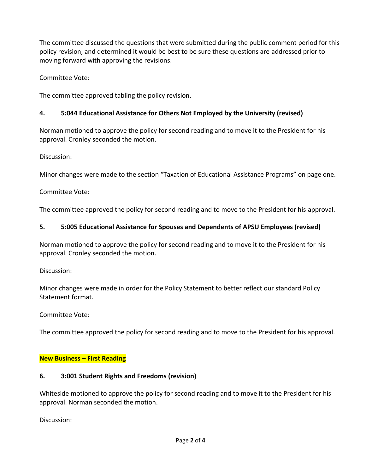The committee discussed the questions that were submitted during the public comment period for this policy revision, and determined it would be best to be sure these questions are addressed prior to moving forward with approving the revisions.

Committee Vote:

The committee approved tabling the policy revision.

## **4. 5:044 Educational Assistance for Others Not Employed by the University (revised)**

Norman motioned to approve the policy for second reading and to move it to the President for his approval. Cronley seconded the motion.

Discussion:

Minor changes were made to the section "Taxation of Educational Assistance Programs" on page one.

Committee Vote:

The committee approved the policy for second reading and to move to the President for his approval.

### **5. 5:005 Educational Assistance for Spouses and Dependents of APSU Employees (revised)**

Norman motioned to approve the policy for second reading and to move it to the President for his approval. Cronley seconded the motion.

Discussion:

Minor changes were made in order for the Policy Statement to better reflect our standard Policy Statement format.

Committee Vote:

The committee approved the policy for second reading and to move to the President for his approval.

#### **New Business – First Reading**

#### **6. 3:001 Student Rights and Freedoms (revision)**

Whiteside motioned to approve the policy for second reading and to move it to the President for his approval. Norman seconded the motion.

Discussion: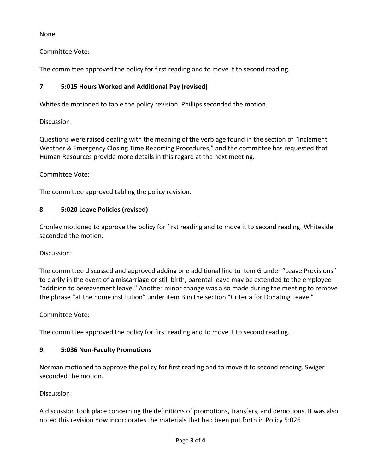None

Committee Vote:

The committee approved the policy for first reading and to move it to second reading.

# **7. 5:015 Hours Worked and Additional Pay (revised)**

Whiteside motioned to table the policy revision. Phillips seconded the motion.

Discussion:

Questions were raised dealing with the meaning of the verbiage found in the section of "Inclement Weather & Emergency Closing Time Reporting Procedures," and the committee has requested that Human Resources provide more details in this regard at the next meeting.

Committee Vote:

The committee approved tabling the policy revision.

# **8. 5:020 Leave Policies (revised)**

Cronley motioned to approve the policy for first reading and to move it to second reading. Whiteside seconded the motion.

Discussion:

The committee discussed and approved adding one additional line to item G under "Leave Provisions" to clarify in the event of a miscarriage or still birth, parental leave may be extended to the employee "addition to bereavement leave." Another minor change was also made during the meeting to remove the phrase "at the home institution" under item B in the section "Criteria for Donating Leave."

Committee Vote:

The committee approved the policy for first reading and to move it to second reading.

# **9. 5:036 Non-Faculty Promotions**

Norman motioned to approve the policy for first reading and to move it to second reading. Swiger seconded the motion.

Discussion:

A discussion took place concerning the definitions of promotions, transfers, and demotions. It was also noted this revision now incorporates the materials that had been put forth in Policy 5:026